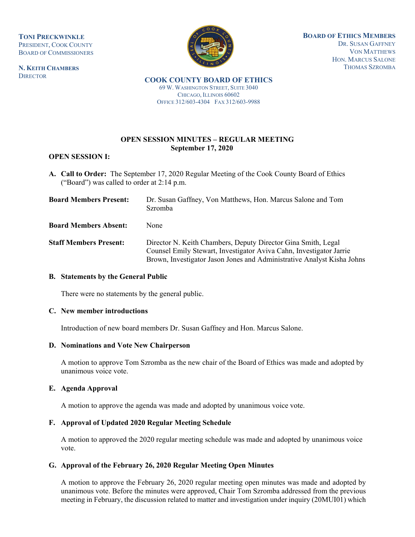**TONI PRECKWINKLE** PRESIDENT, COOK COUNTY BOARD OF COMMISSIONERS

**N. KEITH CHAMBERS DIRECTOR** 



**BOARD OF ETHICS MEMBERS** DR. SUSAN GAFFNEY VON MATTHEWS HON. MARCUS SALONE THOMAS SZROMBA

**COOK COUNTY BOARD OF ETHICS**  69 W. WASHINGTON STREET, SUITE 3040 CHICAGO, ILLINOIS 60602 OFFICE 312/603-4304 FAX 312/603-9988

# **OPEN SESSION MINUTES – REGULAR MEETING September 17, 2020**

## **OPEN SESSION I:**

**A. Call to Order:** The September 17, 2020 Regular Meeting of the Cook County Board of Ethics ("Board") was called to order at 2:14 p.m.

| <b>Board Members Present:</b> | Dr. Susan Gaffney, Von Matthews, Hon. Marcus Salone and Tom<br><b>Szromba</b>                                                                                                                                  |
|-------------------------------|----------------------------------------------------------------------------------------------------------------------------------------------------------------------------------------------------------------|
| <b>Board Members Absent:</b>  | None                                                                                                                                                                                                           |
| <b>Staff Members Present:</b> | Director N. Keith Chambers, Deputy Director Gina Smith, Legal<br>Counsel Emily Stewart, Investigator Aviva Cahn, Investigator Jarrie<br>Brown, Investigator Jason Jones and Administrative Analyst Kisha Johns |

## **B. Statements by the General Public**

There were no statements by the general public.

## **C. New member introductions**

Introduction of new board members Dr. Susan Gaffney and Hon. Marcus Salone.

#### **D. Nominations and Vote New Chairperson**

A motion to approve Tom Szromba as the new chair of the Board of Ethics was made and adopted by unanimous voice vote.

## **E. Agenda Approval**

A motion to approve the agenda was made and adopted by unanimous voice vote.

## **F. Approval of Updated 2020 Regular Meeting Schedule**

A motion to approved the 2020 regular meeting schedule was made and adopted by unanimous voice vote.

## **G. Approval of the February 26, 2020 Regular Meeting Open Minutes**

A motion to approve the February 26, 2020 regular meeting open minutes was made and adopted by unanimous vote. Before the minutes were approved, Chair Tom Szromba addressed from the previous meeting in February, the discussion related to matter and investigation under inquiry (20MUI01) which